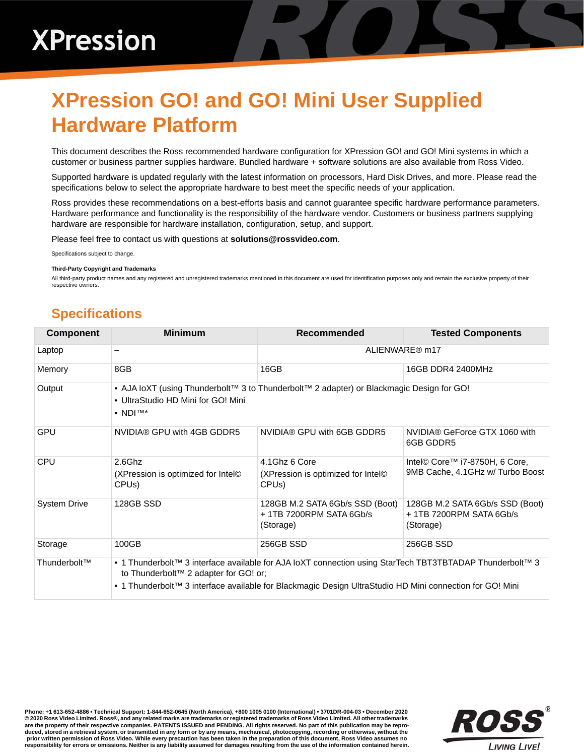## **XPression GO! and GO! Mini User Supplied Hardware Platform**

This document describes the Ross recommended hardware configuration for XPression GO! and GO! Mini systems in which a customer or business partner supplies hardware. Bundled hardware + software solutions are also available from Ross Video.

Supported hardware is updated regularly with the latest information on processors, Hard Disk Drives, and more. Please read the specifications below to select the appropriate hardware to best meet the specific needs of your application.

Ross provides these recommendations on a best-efforts basis and cannot guarantee specific hardware performance parameters. Hardware performance and functionality is the responsibility of the hardware vendor. Customers or business partners supplying hardware are responsible for hardware installation, configuration, setup, and support.

Please feel free to contact us with questions at **solutions@rossvideo.com**.

Specifications subject to change.

## **Third-Party Copyright and Trademarks**

All third-party product names and any registered and unregistered trademarks mentioned in this document are used for identification purposes only and remain the exclusive property of their respective owners.

## **Specifications**

| <b>Component</b>    | <b>Minimum</b>                                                                                                                                                                                                                                                | Recommended                                                             | <b>Tested Components</b>                                                |  |
|---------------------|---------------------------------------------------------------------------------------------------------------------------------------------------------------------------------------------------------------------------------------------------------------|-------------------------------------------------------------------------|-------------------------------------------------------------------------|--|
| Laptop              | —                                                                                                                                                                                                                                                             | ALIENWARE® m17                                                          |                                                                         |  |
| Memory              | 8GB                                                                                                                                                                                                                                                           | 16GB                                                                    | 16GB DDR4 2400MHz                                                       |  |
| Output              | • AJA loXT (using Thunderbolt™ 3 to Thunderbolt™ 2 adapter) or Blackmagic Design for GO!<br>• UltraStudio HD Mini for GO! Mini<br>$\bullet$ NDITM*                                                                                                            |                                                                         |                                                                         |  |
| <b>GPU</b>          | NVIDIA® GPU with 4GB GDDR5                                                                                                                                                                                                                                    | NVIDIA® GPU with 6GB GDDR5                                              | NVIDIA® GeForce GTX 1060 with<br>6GB GDDR5                              |  |
| <b>CPU</b>          | $2.6$ Ghz                                                                                                                                                                                                                                                     | 4.1Ghz 6 Core                                                           | Intel© Core™ i7-8750H, 6 Core,<br>9MB Cache, 4.1 GHz w/ Turbo Boost     |  |
|                     | (XPression is optimized for Intel <sup>©</sup><br>CPU <sub>s</sub> )                                                                                                                                                                                          | (XPression is optimized for Intel <sup>®</sup><br>CPU <sub>s</sub> )    |                                                                         |  |
| <b>System Drive</b> | 128GB SSD                                                                                                                                                                                                                                                     | 128GB M.2 SATA 6Gb/s SSD (Boot)<br>+1TB 7200RPM SATA 6Gb/s<br>(Storage) | 128GB M.2 SATA 6Gb/s SSD (Boot)<br>+1TB 7200RPM SATA 6Gb/s<br>(Storage) |  |
| Storage             | 100GB                                                                                                                                                                                                                                                         | 256GB SSD                                                               | 256GB SSD                                                               |  |
| Thunderbolt™        | • 1 Thunderbolt™ 3 interface available for AJA loXT connection using StarTech TBT3TBTADAP Thunderbolt™ 3<br>to Thunderbolt™ 2 adapter for GO! or;<br>• 1 Thunderbolt™ 3 interface available for Blackmagic Design UltraStudio HD Mini connection for GO! Mini |                                                                         |                                                                         |  |

**Phone: +1 613-652-4886 • Technical Support: 1-844-652-0645 (North America), +800 1005 0100 (International) • 3701DR-004-03 • December 2020 © 2020 Ross Video Limited. Ross®, and any related marks are trademarks or registered trademarks of Ross Video Limited. All other trademarks are the property of their respective companies. PATENTS ISSUED and PENDING. All rights reserved. No part of this publication may be repro**duced, stored in a retrieval system, or transmitted in any form or by any means, mechanical, photocopying, recording or otherwise, without the<br>prior written permission of Ross Video. While every precaution has been taken i **responsibility for errors or omissions. Neither is any liability assumed for damages resulting from the use of the information contained herein.**